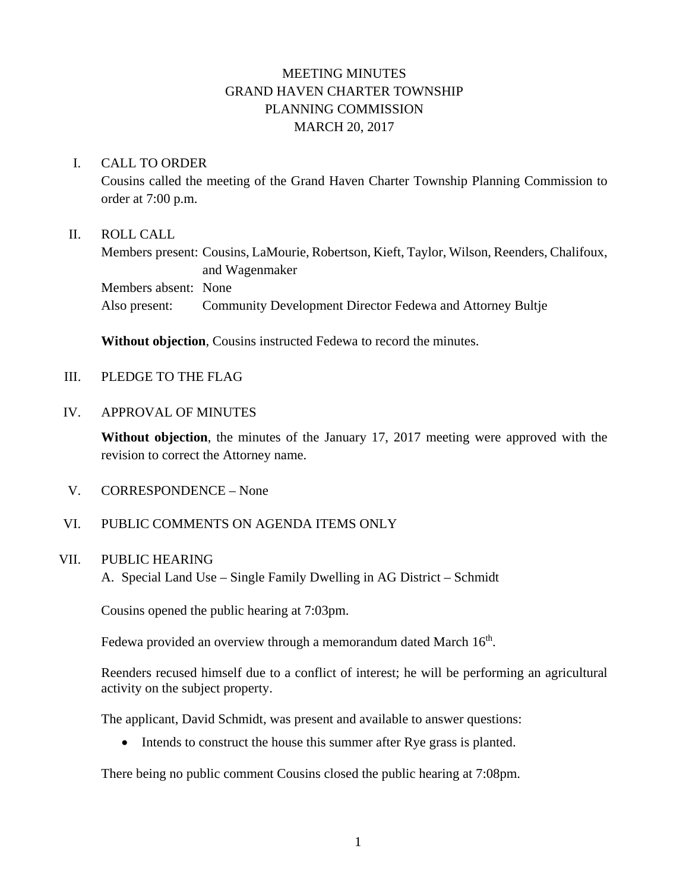# MEETING MINUTES GRAND HAVEN CHARTER TOWNSHIP PLANNING COMMISSION MARCH 20, 2017

## I. CALL TO ORDER

Cousins called the meeting of the Grand Haven Charter Township Planning Commission to order at 7:00 p.m.

### II. ROLL CALL

Members present: Cousins, LaMourie, Robertson, Kieft, Taylor, Wilson, Reenders, Chalifoux, and Wagenmaker Members absent: None Also present: Community Development Director Fedewa and Attorney Bultje

**Without objection**, Cousins instructed Fedewa to record the minutes.

III. PLEDGE TO THE FLAG

#### IV. APPROVAL OF MINUTES

**Without objection**, the minutes of the January 17, 2017 meeting were approved with the revision to correct the Attorney name.

V. CORRESPONDENCE – None

## VI. PUBLIC COMMENTS ON AGENDA ITEMS ONLY

#### VII. PUBLIC HEARING

A. Special Land Use – Single Family Dwelling in AG District – Schmidt

Cousins opened the public hearing at 7:03pm.

Fedewa provided an overview through a memorandum dated March  $16<sup>th</sup>$ .

Reenders recused himself due to a conflict of interest; he will be performing an agricultural activity on the subject property.

The applicant, David Schmidt, was present and available to answer questions:

• Intends to construct the house this summer after Rye grass is planted.

There being no public comment Cousins closed the public hearing at 7:08pm.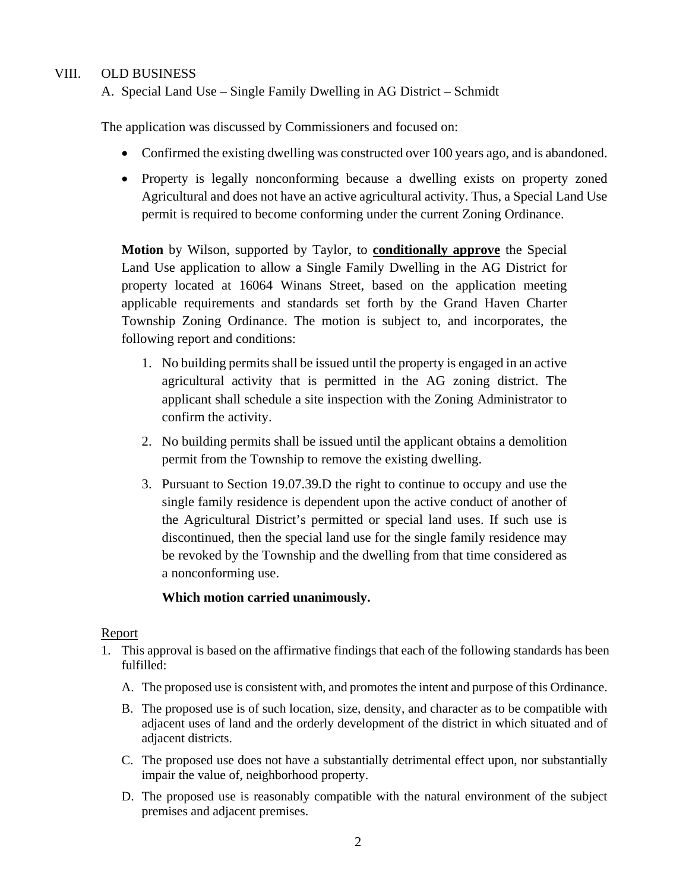## VIII. OLD BUSINESS

A. Special Land Use – Single Family Dwelling in AG District – Schmidt

The application was discussed by Commissioners and focused on:

- Confirmed the existing dwelling was constructed over 100 years ago, and is abandoned.
- Property is legally nonconforming because a dwelling exists on property zoned Agricultural and does not have an active agricultural activity. Thus, a Special Land Use permit is required to become conforming under the current Zoning Ordinance.

**Motion** by Wilson, supported by Taylor, to **conditionally approve** the Special Land Use application to allow a Single Family Dwelling in the AG District for property located at 16064 Winans Street, based on the application meeting applicable requirements and standards set forth by the Grand Haven Charter Township Zoning Ordinance. The motion is subject to, and incorporates, the following report and conditions:

- 1. No building permits shall be issued until the property is engaged in an active agricultural activity that is permitted in the AG zoning district. The applicant shall schedule a site inspection with the Zoning Administrator to confirm the activity.
- 2. No building permits shall be issued until the applicant obtains a demolition permit from the Township to remove the existing dwelling.
- 3. Pursuant to Section 19.07.39.D the right to continue to occupy and use the single family residence is dependent upon the active conduct of another of the Agricultural District's permitted or special land uses. If such use is discontinued, then the special land use for the single family residence may be revoked by the Township and the dwelling from that time considered as a nonconforming use.

## **Which motion carried unanimously.**

## Report

- 1. This approval is based on the affirmative findings that each of the following standards has been fulfilled:
	- A. The proposed use is consistent with, and promotes the intent and purpose of this Ordinance.
	- B. The proposed use is of such location, size, density, and character as to be compatible with adjacent uses of land and the orderly development of the district in which situated and of adjacent districts.
	- C. The proposed use does not have a substantially detrimental effect upon, nor substantially impair the value of, neighborhood property.
	- D. The proposed use is reasonably compatible with the natural environment of the subject premises and adjacent premises.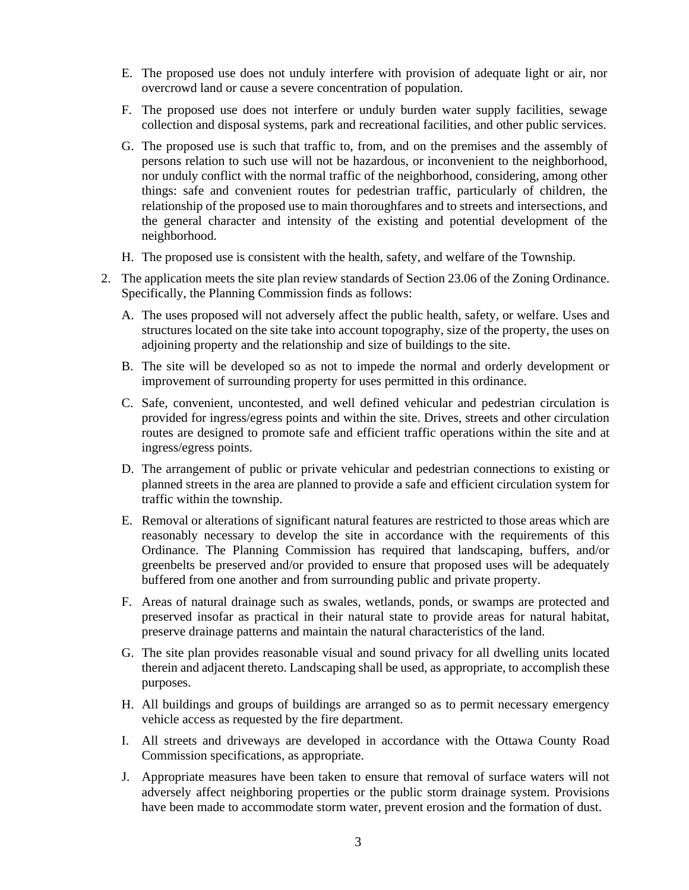- E. The proposed use does not unduly interfere with provision of adequate light or air, nor overcrowd land or cause a severe concentration of population.
- F. The proposed use does not interfere or unduly burden water supply facilities, sewage collection and disposal systems, park and recreational facilities, and other public services.
- G. The proposed use is such that traffic to, from, and on the premises and the assembly of persons relation to such use will not be hazardous, or inconvenient to the neighborhood, nor unduly conflict with the normal traffic of the neighborhood, considering, among other things: safe and convenient routes for pedestrian traffic, particularly of children, the relationship of the proposed use to main thoroughfares and to streets and intersections, and the general character and intensity of the existing and potential development of the neighborhood.
- H. The proposed use is consistent with the health, safety, and welfare of the Township.
- 2. The application meets the site plan review standards of Section 23.06 of the Zoning Ordinance. Specifically, the Planning Commission finds as follows:
	- A. The uses proposed will not adversely affect the public health, safety, or welfare. Uses and structures located on the site take into account topography, size of the property, the uses on adjoining property and the relationship and size of buildings to the site.
	- B. The site will be developed so as not to impede the normal and orderly development or improvement of surrounding property for uses permitted in this ordinance.
	- C. Safe, convenient, uncontested, and well defined vehicular and pedestrian circulation is provided for ingress/egress points and within the site. Drives, streets and other circulation routes are designed to promote safe and efficient traffic operations within the site and at ingress/egress points.
	- D. The arrangement of public or private vehicular and pedestrian connections to existing or planned streets in the area are planned to provide a safe and efficient circulation system for traffic within the township.
	- E. Removal or alterations of significant natural features are restricted to those areas which are reasonably necessary to develop the site in accordance with the requirements of this Ordinance. The Planning Commission has required that landscaping, buffers, and/or greenbelts be preserved and/or provided to ensure that proposed uses will be adequately buffered from one another and from surrounding public and private property.
	- F. Areas of natural drainage such as swales, wetlands, ponds, or swamps are protected and preserved insofar as practical in their natural state to provide areas for natural habitat, preserve drainage patterns and maintain the natural characteristics of the land.
	- G. The site plan provides reasonable visual and sound privacy for all dwelling units located therein and adjacent thereto. Landscaping shall be used, as appropriate, to accomplish these purposes.
	- H. All buildings and groups of buildings are arranged so as to permit necessary emergency vehicle access as requested by the fire department.
	- I. All streets and driveways are developed in accordance with the Ottawa County Road Commission specifications, as appropriate.
	- J. Appropriate measures have been taken to ensure that removal of surface waters will not adversely affect neighboring properties or the public storm drainage system. Provisions have been made to accommodate storm water, prevent erosion and the formation of dust.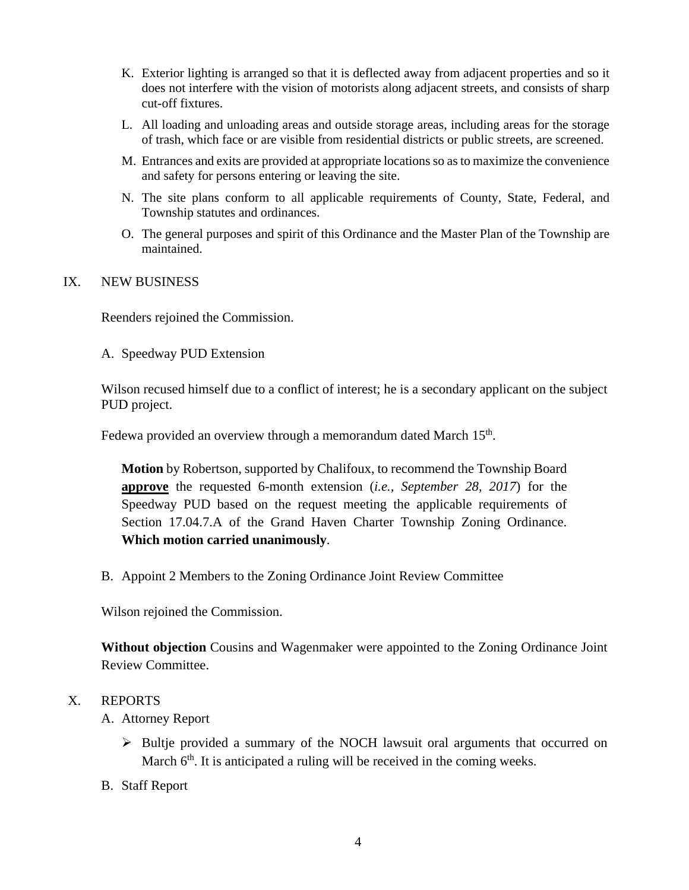- K. Exterior lighting is arranged so that it is deflected away from adjacent properties and so it does not interfere with the vision of motorists along adjacent streets, and consists of sharp cut-off fixtures.
- L. All loading and unloading areas and outside storage areas, including areas for the storage of trash, which face or are visible from residential districts or public streets, are screened.
- M. Entrances and exits are provided at appropriate locations so as to maximize the convenience and safety for persons entering or leaving the site.
- N. The site plans conform to all applicable requirements of County, State, Federal, and Township statutes and ordinances.
- O. The general purposes and spirit of this Ordinance and the Master Plan of the Township are maintained.

## IX. NEW BUSINESS

Reenders rejoined the Commission.

A. Speedway PUD Extension

Wilson recused himself due to a conflict of interest; he is a secondary applicant on the subject PUD project.

Fedewa provided an overview through a memorandum dated March 15<sup>th</sup>.

**Motion** by Robertson, supported by Chalifoux, to recommend the Township Board **approve** the requested 6-month extension (*i.e., September 28, 2017*) for the Speedway PUD based on the request meeting the applicable requirements of Section 17.04.7.A of the Grand Haven Charter Township Zoning Ordinance. **Which motion carried unanimously**.

B. Appoint 2 Members to the Zoning Ordinance Joint Review Committee

Wilson rejoined the Commission.

**Without objection** Cousins and Wagenmaker were appointed to the Zoning Ordinance Joint Review Committee.

## X. REPORTS

A. Attorney Report

- $\triangleright$  Bultje provided a summary of the NOCH lawsuit oral arguments that occurred on March  $6<sup>th</sup>$ . It is anticipated a ruling will be received in the coming weeks.
- B. Staff Report